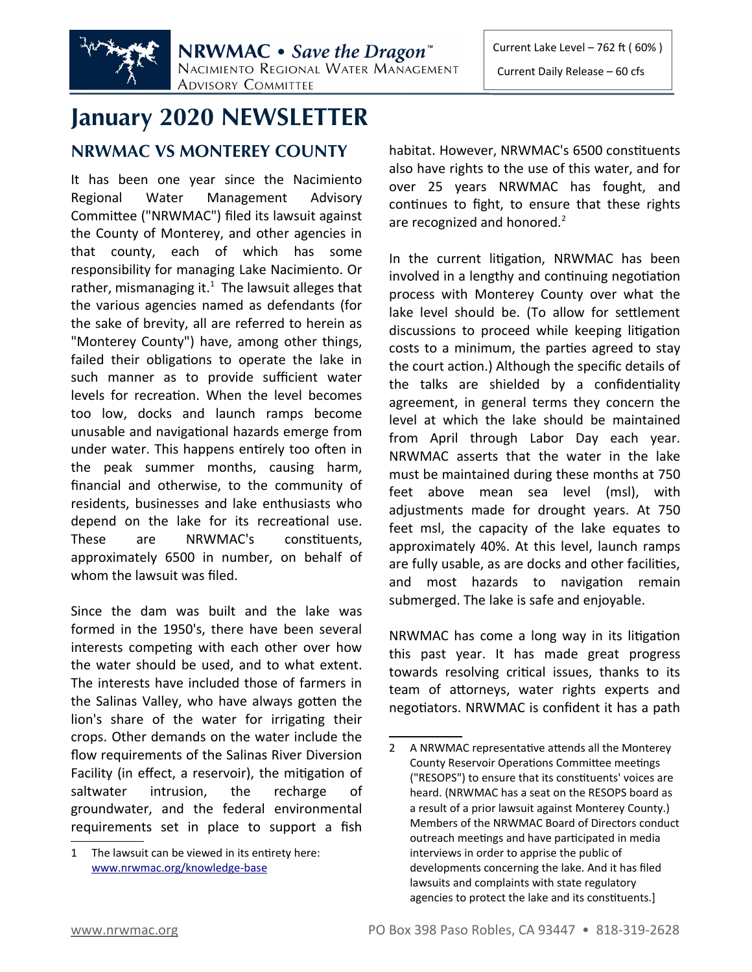

# **January 2020 NEWSLETTER**

## **NRWMAC VS MONTEREY COUNTY**

It has been one year since the Nacimiento Regional Water Management Advisory Committee ("NRWMAC") filed its lawsuit against the County of Monterey, and other agencies in that county, each of which has some responsibility for managing Lake Nacimiento. Or rather, mismanaging it. $<sup>1</sup>$  $<sup>1</sup>$  $<sup>1</sup>$  The lawsuit alleges that</sup> the various agencies named as defendants (for the sake of brevity, all are referred to herein as "Monterey County") have, among other things, failed their obligations to operate the lake in such manner as to provide sufficient water levels for recreation. When the level becomes too low, docks and launch ramps become unusable and navigational hazards emerge from under water. This happens entirely too often in the peak summer months, causing harm, financial and otherwise, to the community of residents, businesses and lake enthusiasts who depend on the lake for its recreational use. These are NRWMAC's constituents, approximately 6500 in number, on behalf of whom the lawsuit was filed.

Since the dam was built and the lake was formed in the 1950's, there have been several interests competing with each other over how the water should be used, and to what extent. The interests have included those of farmers in the Salinas Valley, who have always gotten the lion's share of the water for irrigating their crops. Other demands on the water include the flow requirements of the Salinas River Diversion Facility (in effect, a reservoir), the mitigation of saltwater intrusion, the recharge of groundwater, and the federal environmental requirements set in place to support a fish habitat. However, NRWMAC's 6500 constituents also have rights to the use of this water, and for over 25 years NRWMAC has fought, and continues to fight, to ensure that these rights are recognized and honored.<sup>[2](#page-0-1)</sup>

In the current litigation, NRWMAC has been involved in a lengthy and continuing negotiation process with Monterey County over what the lake level should be. (To allow for settlement discussions to proceed while keeping litigation costs to a minimum, the parties agreed to stay the court action.) Although the specific details of the talks are shielded by a confidentiality agreement, in general terms they concern the level at which the lake should be maintained from April through Labor Day each year. NRWMAC asserts that the water in the lake must be maintained during these months at 750 feet above mean sea level (msl), with adjustments made for drought years. At 750 feet msl, the capacity of the lake equates to approximately 40%. At this level, launch ramps are fully usable, as are docks and other facilities, and most hazards to navigation remain submerged. The lake is safe and enjoyable.

NRWMAC has come a long way in its litigation this past year. It has made great progress towards resolving critical issues, thanks to its team of attorneys, water rights experts and negotiators. NRWMAC is confident it has a path

<span id="page-0-0"></span><sup>1</sup> The lawsuit can be viewed in its entirety here:  [www.nrwmac.org/knowledge-bas e](http://www.nrwmac.org/knowledge-base)

<span id="page-0-1"></span><sup>2</sup> A NRWMAC representative attends all the Monterey County Reservoir Operations Committee meetings ("RESOPS") to ensure that its constituents' voices are heard. (NRWMAC has a seat on the RESOPS board as a result of a prior lawsuit against Monterey County.) Members of the NRWMAC Board of Directors conduct outreach meetings and have participated in media interviews in order to apprise the public of developments concerning the lake. And it has filed lawsuits and complaints with state regulatory agencies to protect the lake and its constituents.]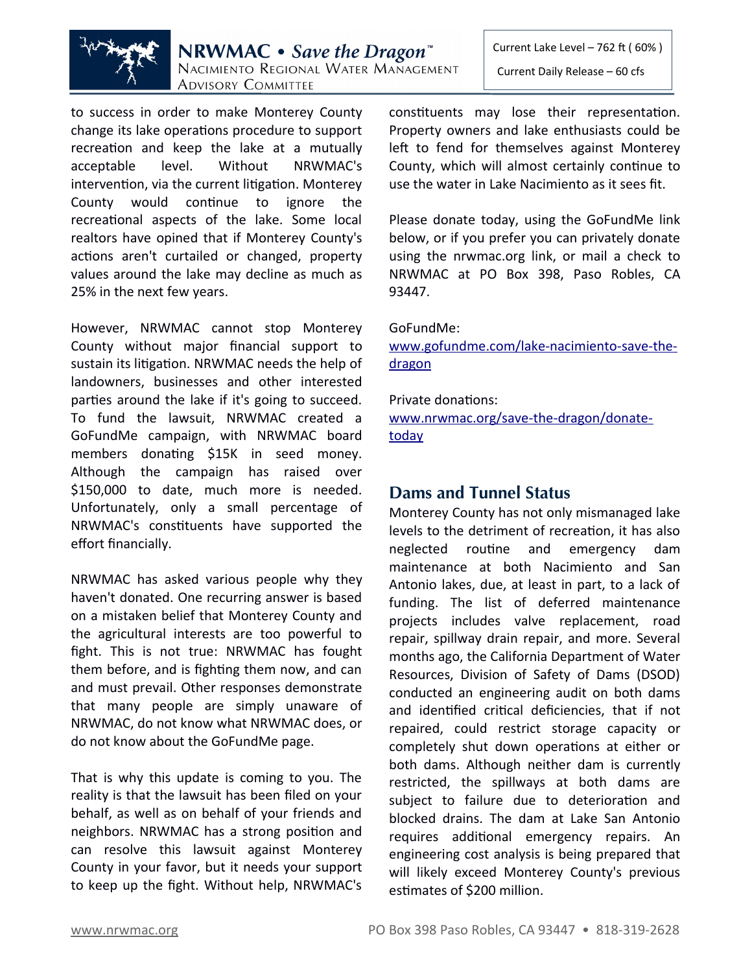

**NRWMAC** • Save the Dragon<sup>"</sup> NACIMIENTO REGIONAL WATER MANAGEMENT **ADVISORY COMMITTEE** 

to success in order to make Monterey County change its lake operations procedure to support recreation and keep the lake at a mutually acceptable level. Without NRWMAC's intervention, via the current litigation. Monterey County would continue to ignore the recreational aspects of the lake. Some local realtors have opined that if Monterey County's actions aren't curtailed or changed, property values around the lake may decline as much as 25% in the next few years.

However, NRWMAC cannot stop Monterey County without major financial support to sustain its litigation. NRWMAC needs the help of landowners, businesses and other interested parties around the lake if it's going to succeed. To fund the lawsuit, NRWMAC created a GoFundMe campaign, with NRWMAC board members donating \$15K in seed money. Although the campaign has raised over \$150,000 to date, much more is needed. Unfortunately, only a small percentage of NRWMAC's constituents have supported the effort financially.

NRWMAC has asked various people why they haven't donated. One recurring answer is based on a mistaken belief that Monterey County and the agricultural interests are too powerful to fight. This is not true: NRWMAC has fought them before, and is fighting them now, and can and must prevail. Other responses demonstrate that many people are simply unaware of NRWMAC, do not know what NRWMAC does, or do not know about the GoFundMe page.

That is why this update is coming to you. The reality is that the lawsuit has been filed on your behalf, as well as on behalf of your friends and neighbors. NRWMAC has a strong position and can resolve this lawsuit against Monterey County in your favor, but it needs your support to keep up the fight. Without help, NRWMAC's Current Lake Level – 762 ft ( 60% )

Current Daily Release – 60 cfs

constituents may lose their representation. Property owners and lake enthusiasts could be left to fend for themselves against Monterey County, which will almost certainly continue to use the water in Lake Nacimiento as it sees fit.

Please donate today, using the GoFundMe link below, or if you prefer you can privately donate using the nrwmac.org link, or mail a check to NRWMAC at PO Box 398, Paso Robles, CA 93447.

#### GoFundMe:

[www.gofundme.com/lake-nacimiento-save-the](http://www.gofundme.com/lake-nacimiento-save-the-dragon) dragon

#### Private donations:

[www.nrwmac.org/save-the-dragon/donate](http://www.nrwmac.org/save-the-dragon/donate-today) today

## **Dams and Tunnel Status**

Monterey County has not only mismanaged lake levels to the detriment of recreation, it has also neglected routine and emergency dam maintenance at both Nacimiento and San Antonio lakes, due, at least in part, to a lack of funding. The list of deferred maintenance projects includes valve replacement, road repair, spillway drain repair, and more. Several months ago, the California Department of Water Resources, Division of Safety of Dams (DSOD) conducted an engineering audit on both dams and identified critical deficiencies, that if not repaired, could restrict storage capacity or completely shut down operations at either or both dams. Although neither dam is currently restricted, the spillways at both dams are subject to failure due to deterioration and blocked drains. The dam at Lake San Antonio requires additional emergency repairs. An engineering cost analysis is being prepared that will likely exceed Monterey County's previous estimates of \$200 million.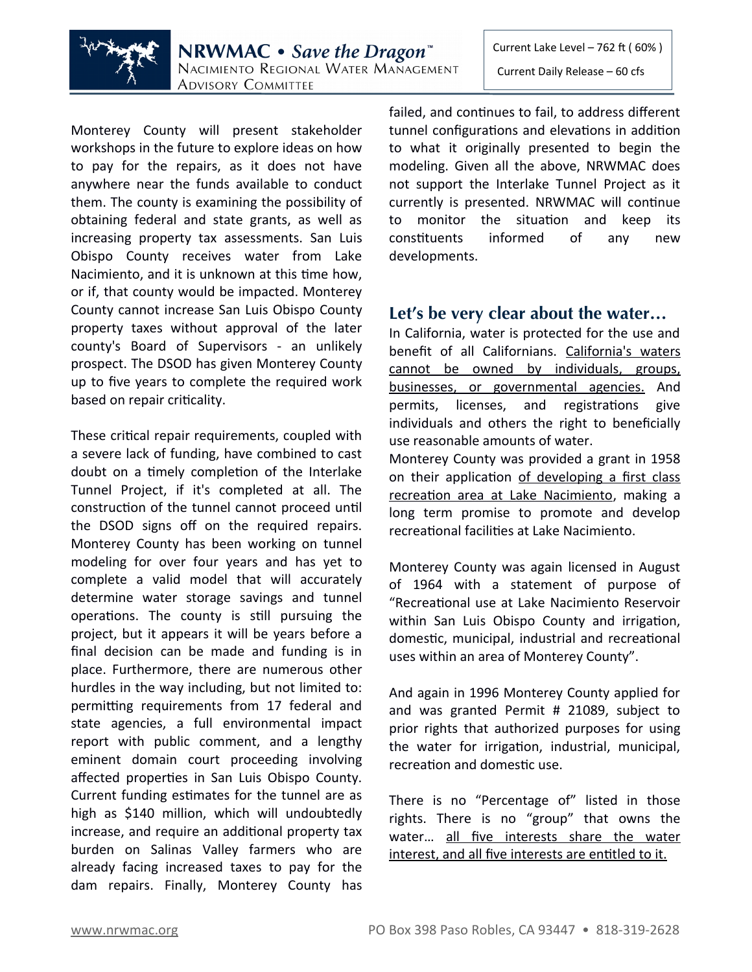

**NRWMAC** • Save the Dragon<sup>"</sup> NACIMIENTO REGIONAL WATER MANAGEMENT **ADVISORY COMMITTEE** 

Current Lake Level – 762 ft ( 60% ) Current Daily Release – 60 cfs

Monterey County will present stakeholder workshops in the future to explore ideas on how to pay for the repairs, as it does not have anywhere near the funds available to conduct them. The county is examining the possibility of obtaining federal and state grants, as well as increasing property tax assessments. San Luis Obispo County receives water from Lake Nacimiento, and it is unknown at this time how, or if, that county would be impacted. Monterey County cannot increase San Luis Obispo County property taxes without approval of the later county's Board of Supervisors - an unlikely prospect. The DSOD has given Monterey County up to five years to complete the required work based on repair criticality.

These critical repair requirements, coupled with a severe lack of funding, have combined to cast doubt on a timely completion of the Interlake Tunnel Project, if it's completed at all. The construction of the tunnel cannot proceed until the DSOD signs off on the required repairs. Monterey County has been working on tunnel modeling for over four years and has yet to complete a valid model that will accurately determine water storage savings and tunnel operations. The county is still pursuing the project, but it appears it will be years before a final decision can be made and funding is in place. Furthermore, there are numerous other hurdles in the way including, but not limited to: permitting requirements from 17 federal and state agencies, a full environmental impact report with public comment, and a lengthy eminent domain court proceeding involving affected properties in San Luis Obispo County. Current funding estimates for the tunnel are as high as \$140 million, which will undoubtedly increase, and require an additional property tax burden on Salinas Valley farmers who are already facing increased taxes to pay for the dam repairs. Finally, Monterey County has failed, and continues to fail, to address different tunnel configurations and elevations in addition to what it originally presented to begin the modeling. Given all the above, NRWMAC does not support the Interlake Tunnel Project as it currently is presented. NRWMAC will continue to monitor the situation and keep its constituents informed of any new developments.

## **Let's be very clear about the water…**

In California, water is protected for the use and benefit of all Californians. California's waters cannot be owned by individuals, groups, businesses, or governmental agencies. And permits, licenses, and registrations give individuals and others the right to beneficially use reasonable amounts of water.

Monterey County was provided a grant in 1958 on their application of developing a first class recreation area at Lake Nacimiento, making a long term promise to promote and develop recreational facilities at Lake Nacimiento.

Monterey County was again licensed in August of 1964 with a statement of purpose of "Recreational use at Lake Nacimiento Reservoir within San Luis Obispo County and irrigation, domestic, municipal, industrial and recreational uses within an area of Monterey County".

And again in 1996 Monterey County applied for and was granted Permit # 21089, subject to prior rights that authorized purposes for using the water for irrigation, industrial, municipal, recreation and domestic use.

There is no "Percentage of" listed in those rights. There is no "group" that owns the water… all five interests share the water interest, and all five interests are entitled to it.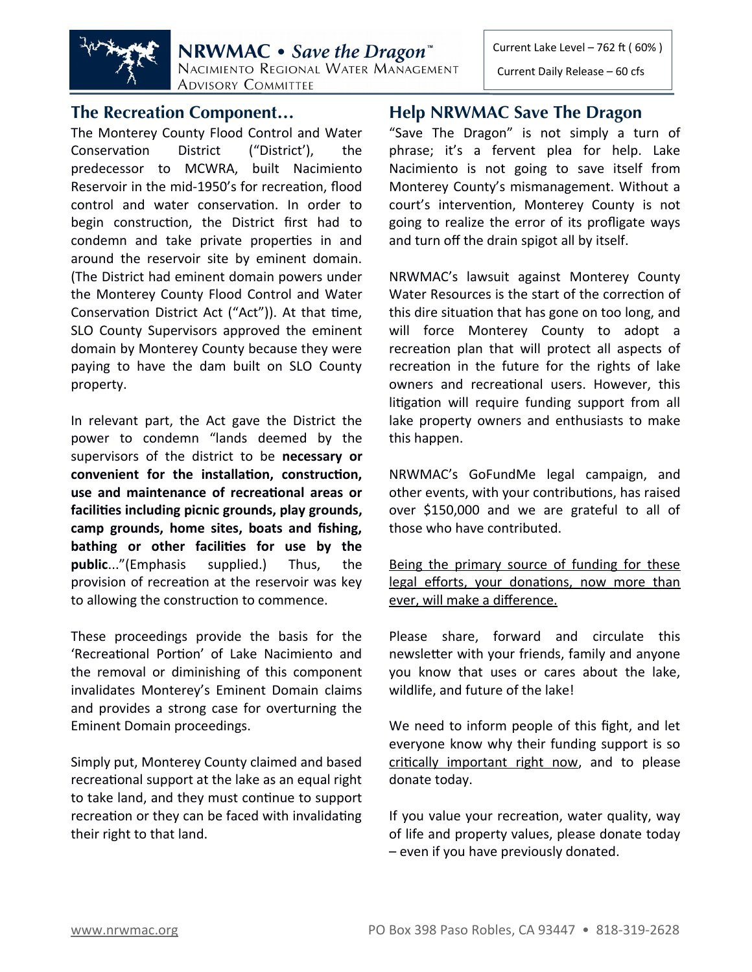

Current Daily Release – 60 cfs



NRWMAC • Save the Dragon<sup>®</sup> NACIMIENTO REGIONAL WATER MANAGEMENT **ADVISORY COMMITTEE** 

#### **The Recreation Component…**

The Monterey County Flood Control and Water Conservation District ("District'), the predecessor to MCWRA, built Nacimiento Reservoir in the mid-1950's for recreation, flood control and water conservation. In order to begin construction, the District first had to condemn and take private properties in and around the reservoir site by eminent domain. (The District had eminent domain powers under the Monterey County Flood Control and Water Conservation District Act ("Act")). At that time, SLO County Supervisors approved the eminent domain by Monterey County because they were paying to have the dam built on SLO County property.

In relevant part, the Act gave the District the power to condemn "lands deemed by the supervisors of the district to be **necessary or convenient for the installation, construction, use and maintenance of recreational areas or facilities including picnic grounds, play grounds, camp grounds, home sites, boats and fishing, bathing or other facilities for use by the public**..."(Emphasis supplied.) Thus, the provision of recreation at the reservoir was key to allowing the construction to commence.

These proceedings provide the basis for the 'Recreational Portion' of Lake Nacimiento and the removal or diminishing of this component invalidates Monterey's Eminent Domain claims and provides a strong case for overturning the Eminent Domain proceedings.

Simply put, Monterey County claimed and based recreational support at the lake as an equal right to take land, and they must continue to support recreation or they can be faced with invalidating their right to that land.

#### **Help NRWMAC Save The Dragon**

"Save The Dragon" is not simply a turn of phrase; it's a fervent plea for help. Lake Nacimiento is not going to save itself from Monterey County's mismanagement. Without a court's intervention, Monterey County is not going to realize the error of its profligate ways and turn off the drain spigot all by itself.

NRWMAC's lawsuit against Monterey County Water Resources is the start of the correction of this dire situation that has gone on too long, and will force Monterey County to adopt a recreation plan that will protect all aspects of recreation in the future for the rights of lake owners and recreational users. However, this litigation will require funding support from all lake property owners and enthusiasts to make this happen.

NRWMAC's GoFundMe legal campaign, and other events, with your contributions, has raised over \$150,000 and we are grateful to all of those who have contributed.

Being the primary source of funding for these legal efforts, your donations, now more than ever, will make a difference.

Please share, forward and circulate this newsletter with your friends, family and anyone you know that uses or cares about the lake, wildlife, and future of the lake!

We need to inform people of this fight, and let everyone know why their funding support is so critically important right now, and to please donate today.

If you value your recreation, water quality, way of life and property values, please donate today – even if you have previously donated.